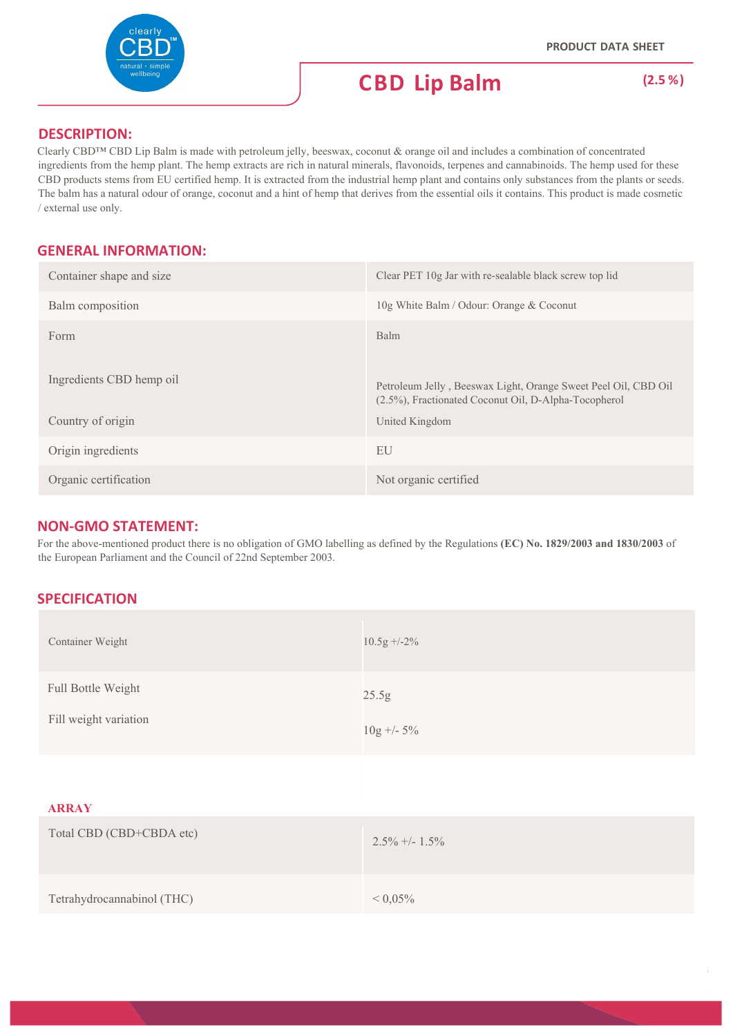

### **DESCRIPTION:**

Clearly CBD™ CBD Lip Balm is made with petroleum jelly, beeswax, coconut & orange oil and includes a combination of concentrated ingredients from the hemp plant. The hemp extracts are rich in natural minerals, flavonoids, terpenes and cannabinoids. The hemp used for these CBD products stems from EU certified hemp. It is extracted from the industrial hemp plant and contains only substances from the plants or seeds. The balm has a natural odour of orange, coconut and a hint of hemp that derives from the essential oils it contains. This product is made cosmetic / external use only.

### **GENERAL INFORMATION:**

| Container shape and size                      | Clear PET 10g Jar with re-sealable black screw top lid                                                                                   |
|-----------------------------------------------|------------------------------------------------------------------------------------------------------------------------------------------|
| Balm composition                              | 10g White Balm / Odour: Orange & Coconut                                                                                                 |
| Form                                          | Balm                                                                                                                                     |
| Ingredients CBD hemp oil<br>Country of origin | Petroleum Jelly, Beeswax Light, Orange Sweet Peel Oil, CBD Oil<br>(2.5%), Fractionated Coconut Oil, D-Alpha-Tocopherol<br>United Kingdom |
| Origin ingredients                            | EU                                                                                                                                       |
| Organic certification                         | Not organic certified                                                                                                                    |

### **NON‐GMO STATEMENT:**

For the above-mentioned product there is no obligation of GMO labelling as defined by the Regulations **(EC) No. 1829/2003 and 1830/2003** of the European Parliament and the Council of 22nd September 2003.

## **SPECIFICATION**

| Container Weight                            | $10.5g + -2\%$        |
|---------------------------------------------|-----------------------|
| Full Bottle Weight<br>Fill weight variation | 25.5g<br>$10g + -5\%$ |
| <b>ARRAY</b>                                |                       |
| Total CBD (CBD+CBDA etc)                    | $2.5\% +1.5\%$        |
| Tetrahydrocannabinol (THC)                  | ${}< 0,05\%$          |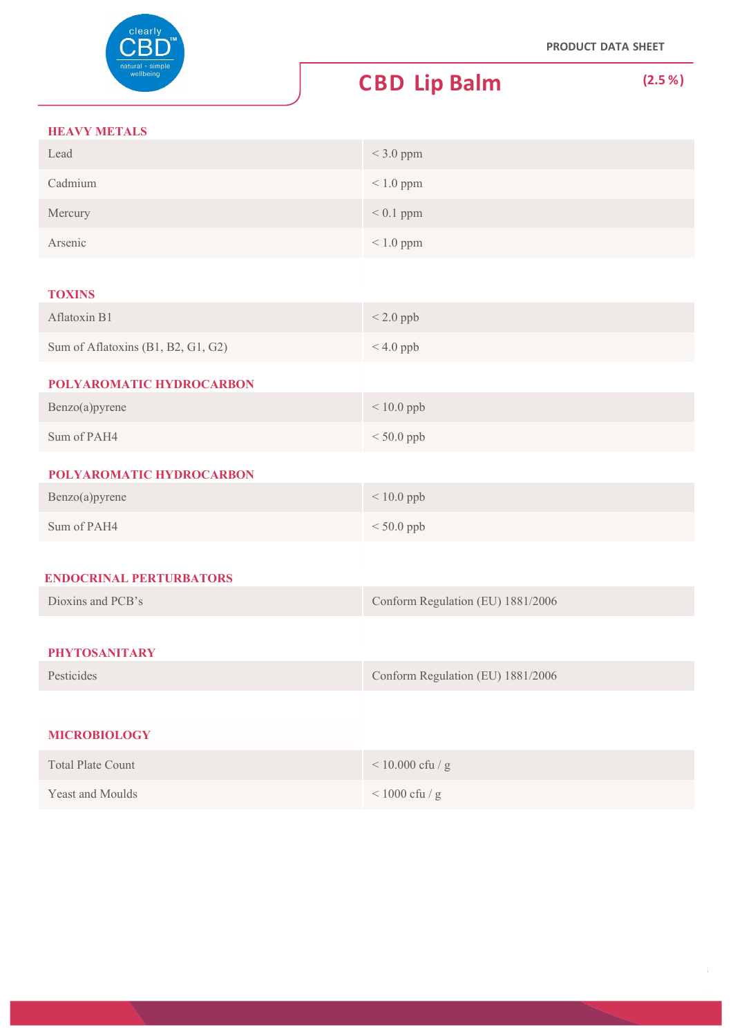

### **HEAVY METALS**

| Lead                               | $<$ 3.0 ppm                       |
|------------------------------------|-----------------------------------|
| Cadmium                            | $< 1.0$ ppm                       |
| Mercury                            | $< 0.1$ ppm                       |
| Arsenic                            | $< 1.0$ ppm                       |
|                                    |                                   |
| <b>TOXINS</b>                      |                                   |
| Aflatoxin B1                       | $< 2.0$ ppb                       |
| Sum of Aflatoxins (B1, B2, G1, G2) | $< 4.0$ ppb                       |
| POLYAROMATIC HYDROCARBON           |                                   |
| Benzo(a)pyrene                     | $< 10.0$ ppb                      |
| Sum of PAH4                        | $< 50.0$ ppb                      |
| POLYAROMATIC HYDROCARBON           |                                   |
| Benzo(a)pyrene                     | $< 10.0$ ppb                      |
| Sum of PAH4                        | $< 50.0$ ppb                      |
|                                    |                                   |
| <b>ENDOCRINAL PERTURBATORS</b>     |                                   |
| Dioxins and PCB's                  | Conform Regulation (EU) 1881/2006 |
|                                    |                                   |
| <b>PHYTOSANITARY</b>               |                                   |
| Pesticides                         | Conform Regulation (EU) 1881/2006 |
|                                    |                                   |
| <b>MICROBIOLOGY</b>                |                                   |
| <b>Total Plate Count</b>           | $<10.000$ cfu / g                 |
| Yeast and Moulds                   | $<1000$ cfu / g                   |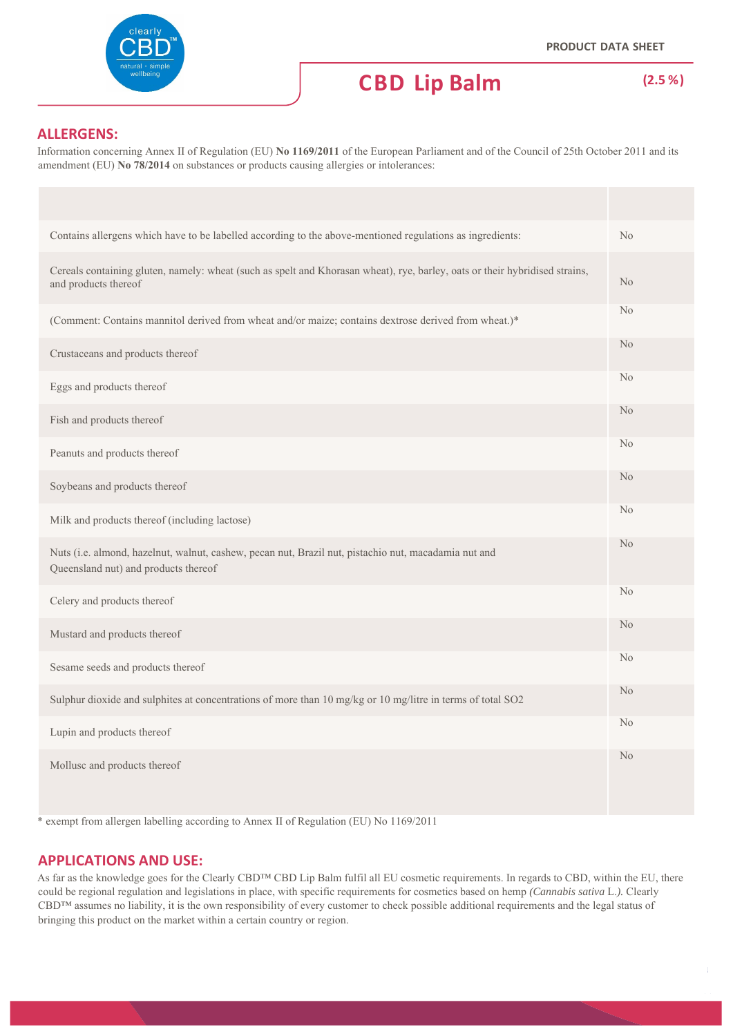

#### **ALLERGENS:**

Information concerning Annex II of Regulation (EU) **No 1169/2011** of the European Parliament and of the Council of 25th October 2011 and its amendment (EU) **No 78/2014** on substances or products causing allergies or intolerances:

| Contains allergens which have to be labelled according to the above-mentioned regulations as ingredients:                                           | No             |
|-----------------------------------------------------------------------------------------------------------------------------------------------------|----------------|
| Cereals containing gluten, namely: wheat (such as spelt and Khorasan wheat), rye, barley, oats or their hybridised strains,<br>and products thereof | N <sub>o</sub> |
| (Comment: Contains mannitol derived from wheat and/or maize; contains dextrose derived from wheat.)*                                                | N <sub>o</sub> |
| Crustaceans and products thereof                                                                                                                    | N <sub>o</sub> |
| Eggs and products thereof                                                                                                                           | No             |
| Fish and products thereof                                                                                                                           | N <sub>o</sub> |
| Peanuts and products thereof                                                                                                                        | N <sub>o</sub> |
| Soybeans and products thereof                                                                                                                       | N <sub>o</sub> |
| Milk and products thereof (including lactose)                                                                                                       | No             |
| Nuts (i.e. almond, hazelnut, walnut, cashew, pecan nut, Brazil nut, pistachio nut, macadamia nut and<br>Queensland nut) and products thereof        | N <sub>o</sub> |
| Celery and products thereof                                                                                                                         | No             |
| Mustard and products thereof                                                                                                                        | N <sub>o</sub> |
| Sesame seeds and products thereof                                                                                                                   | No             |
| Sulphur dioxide and sulphites at concentrations of more than 10 mg/kg or 10 mg/litre in terms of total SO2                                          | N <sub>o</sub> |
| Lupin and products thereof                                                                                                                          | N <sub>o</sub> |
| Mollusc and products thereof                                                                                                                        | N <sub>o</sub> |

\* exempt from allergen labelling according to Annex II of Regulation (EU) No 1169/2011

#### **APPLICATIONS AND USE:**

As far as the knowledge goes for the Clearly CBD™ CBD Lip Balm fulfil all EU cosmetic requirements. In regards to CBD, within the EU, there could be regional regulation and legislations in place, with specific requirements for cosmetics based on hemp *(Cannabis sativa* L.*).* Clearly CBD™ assumes no liability, it is the own responsibility of every customer to check possible additional requirements and the legal status of bringing this product on the market within a certain country or region.